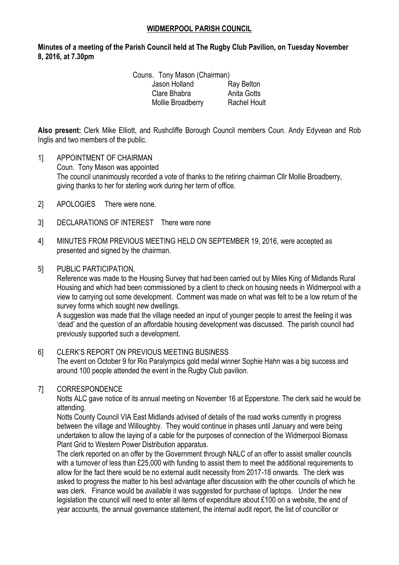## **WIDMERPOOL PARISH COUNCIL**

## **Minutes of a meeting of the Parish Council held at The Rugby Club Pavilion, on Tuesday November 8, 2016, at 7.30pm**

Couns. Tony Mason (Chairman) Jason Holland Ray Belton Clare Bhabra **Anita Gotts** Mollie Broadberry Rachel Hoult

**Also present:** Clerk Mike Elliott, and Rushcliffe Borough Council members Coun. Andy Edyvean and Rob Inglis and two members of the public.

- 1] APPOINTMENT OF CHAIRMAN Coun. Tony Mason was appointed The council unanimously recorded a vote of thanks to the retiring chairman Cllr Mollie Broadberry, giving thanks to her for sterling work during her term of office.
- 2] APOLOGIES There were none.
- 3] DECLARATIONS OF INTEREST There were none
- 4] MINUTES FROM PREVIOUS MEETING HELD ON SEPTEMBER 19, 2016, were accepted as presented and signed by the chairman.

#### 5] PUBLIC PARTICIPATION,

Reference was made to the Housing Survey that had been carried out by Miles King of Midlands Rural Housing and which had been commissioned by a client to check on housing needs in Widmerpool with a view to carrying out some development. Comment was made on what was felt to be a low return of the survey forms which sought new dwellings.

A suggestion was made that the village needed an input of younger people to arrest the feeling it was 'dead' and the question of an affordable housing development was discussed. The parish council had previously supported such a development.

#### 6] CLERK'S REPORT ON PREVIOUS MEETING BUSINESS

The event on October 9 for Rio Paralympics gold medal winner Sophie Hahn was a big success and around 100 people attended the event in the Rugby Club pavilion.

## 7] CORRESPONDENCE

Notts ALC gave notice of its annual meeting on November 16 at Epperstone. The clerk said he would be attending.

Notts County Council VIA East Midlands advised of details of the road works currently in progress between the village and Willoughby. They would continue in phases until January and were being undertaken to allow the laying of a cable for the purposes of connection of the Widmerpool Biomass Plant Grid to Western Power Distribution apparatus.

The clerk reported on an offer by the Government through NALC of an offer to assist smaller councils with a turnover of less than £25,000 with funding to assist them to meet the additional requirements to allow for the fact there would be no external audit necessity from 2017-18 onwards. The clerk was asked to progress the matter to his best advantage after discussion with the other councils of which he was clerk. Finance would be available it was suggested for purchase of laptops. Under the new legislation the council will need to enter all items of expenditure about £100 on a website, the end of year accounts, the annual governance statement, the internal audit report, the list of councillor or